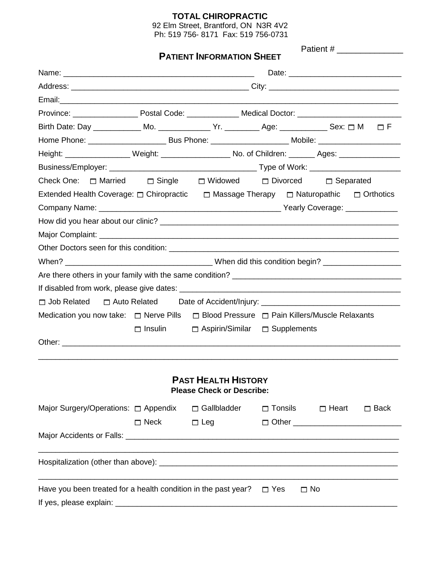# **TOTAL CHIROPRACTIC**

92 Elm Street, Brantford, ON N3R 4V2 Ph: 519 756- 8171 Fax: 519 756-0731

|                                                                                                           | <b>PATIENT INFORMATION SHEET</b>                                                                               |                                                                |                                 |                                                                                                        |              |  |             |  |
|-----------------------------------------------------------------------------------------------------------|----------------------------------------------------------------------------------------------------------------|----------------------------------------------------------------|---------------------------------|--------------------------------------------------------------------------------------------------------|--------------|--|-------------|--|
|                                                                                                           |                                                                                                                |                                                                |                                 |                                                                                                        |              |  |             |  |
|                                                                                                           |                                                                                                                |                                                                |                                 |                                                                                                        |              |  |             |  |
|                                                                                                           |                                                                                                                |                                                                |                                 |                                                                                                        |              |  |             |  |
|                                                                                                           |                                                                                                                |                                                                |                                 |                                                                                                        |              |  |             |  |
| Birth Date: Day ____________ Mo. ______________ Yr. __________ Age: ____________ Sex: □ M   □ F           |                                                                                                                |                                                                |                                 |                                                                                                        |              |  |             |  |
|                                                                                                           | Home Phone: _____________________________Bus Phone: ____________________________Mobile: ______________________ |                                                                |                                 |                                                                                                        |              |  |             |  |
|                                                                                                           | Height: ____________________ Weight: ____________________ No. of Children: _______ Ages: ________________      |                                                                |                                 |                                                                                                        |              |  |             |  |
|                                                                                                           |                                                                                                                |                                                                |                                 |                                                                                                        |              |  |             |  |
| Check One: $\Box$ Married $\Box$ Single $\Box$ Widowed $\Box$ Divorced $\Box$ Separated                   |                                                                                                                |                                                                |                                 |                                                                                                        |              |  |             |  |
| Extended Health Coverage: $\Box$ Chiropractic $\Box$ Massage Therapy $\Box$ Naturopathic $\Box$ Orthotics |                                                                                                                |                                                                |                                 |                                                                                                        |              |  |             |  |
|                                                                                                           |                                                                                                                |                                                                |                                 |                                                                                                        |              |  |             |  |
|                                                                                                           |                                                                                                                |                                                                |                                 |                                                                                                        |              |  |             |  |
|                                                                                                           |                                                                                                                |                                                                |                                 |                                                                                                        |              |  |             |  |
|                                                                                                           |                                                                                                                |                                                                |                                 |                                                                                                        |              |  |             |  |
|                                                                                                           |                                                                                                                |                                                                |                                 |                                                                                                        |              |  |             |  |
|                                                                                                           |                                                                                                                |                                                                |                                 |                                                                                                        |              |  |             |  |
|                                                                                                           |                                                                                                                |                                                                |                                 |                                                                                                        |              |  |             |  |
| □ Job Related □ Auto Related Date of Accident/Injury: __________________________                          |                                                                                                                |                                                                |                                 |                                                                                                        |              |  |             |  |
|                                                                                                           |                                                                                                                |                                                                |                                 | Medication you now take: $\Box$ Nerve Pills $\Box$ Blood Pressure $\Box$ Pain Killers/Muscle Relaxants |              |  |             |  |
|                                                                                                           | $\Box$ Insulin                                                                                                 |                                                                | □ Aspirin/Similar □ Supplements |                                                                                                        |              |  |             |  |
|                                                                                                           |                                                                                                                |                                                                |                                 |                                                                                                        |              |  |             |  |
|                                                                                                           |                                                                                                                |                                                                |                                 |                                                                                                        |              |  |             |  |
|                                                                                                           |                                                                                                                | <b>PAST HEALTH HISTORY</b><br><b>Please Check or Describe:</b> |                                 |                                                                                                        |              |  |             |  |
| Major Surgery/Operations: $\Box$ Appendix $\Box$ Gallbladder                                              |                                                                                                                |                                                                | $\Box$ Tonsils                  |                                                                                                        | $\Box$ Heart |  | $\Box$ Back |  |
|                                                                                                           | $\Box$ Neck                                                                                                    | $\Box$ Leg                                                     |                                 | □ Other <u>____________________________</u>                                                            |              |  |             |  |
|                                                                                                           |                                                                                                                |                                                                |                                 |                                                                                                        |              |  |             |  |
|                                                                                                           |                                                                                                                |                                                                |                                 |                                                                                                        |              |  |             |  |
| Have you been treated for a health condition in the past year?                                            |                                                                                                                |                                                                | $\Box$ Yes                      | $\Box$ No                                                                                              |              |  |             |  |
|                                                                                                           |                                                                                                                |                                                                |                                 |                                                                                                        |              |  |             |  |